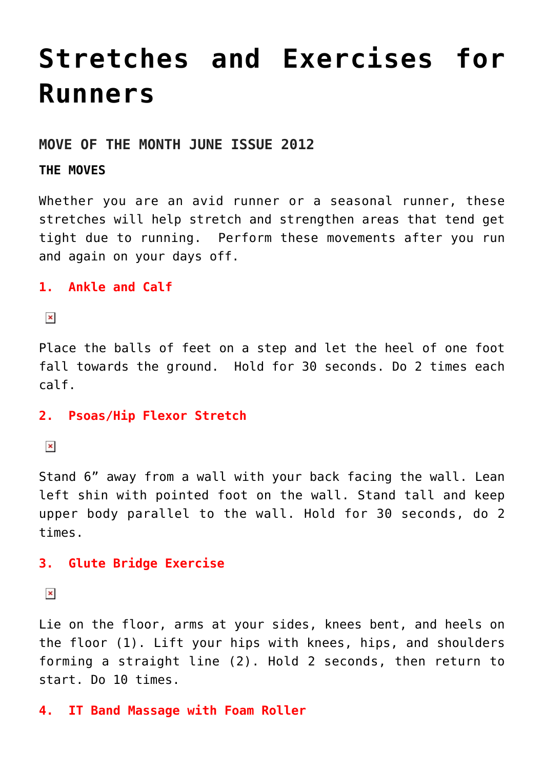# **[Stretches and Exercises for](https://chicagochirosports.com/2012/06/stretches-and-exercises-for-runners/) [Runners](https://chicagochirosports.com/2012/06/stretches-and-exercises-for-runners/)**

#### **MOVE OF THE MONTH JUNE ISSUE 2012**

#### **THE MOVES**

Whether you are an avid runner or a seasonal runner, these stretches will help stretch and strengthen areas that tend get tight due to running. Perform these movements after you run and again on your days off.

**1. Ankle and Calf**

 $\pmb{\times}$ 

Place the balls of feet on a step and let the heel of one foot fall towards the ground. Hold for 30 seconds. Do 2 times each calf.

#### **2. Psoas/Hip Flexor Stretch**

 $\pmb{\times}$ 

Stand 6" away from a wall with your back facing the wall. Lean left shin with pointed foot on the wall. Stand tall and keep upper body parallel to the wall. Hold for 30 seconds, do 2 times.

# **3. Glute Bridge Exercise**

 $\pmb{\times}$ 

Lie on the floor, arms at your sides, knees bent, and heels on the floor (1). Lift your hips with knees, hips, and shoulders forming a straight line (2). Hold 2 seconds, then return to start. Do 10 times.

#### **4. IT Band Massage with Foam Roller**